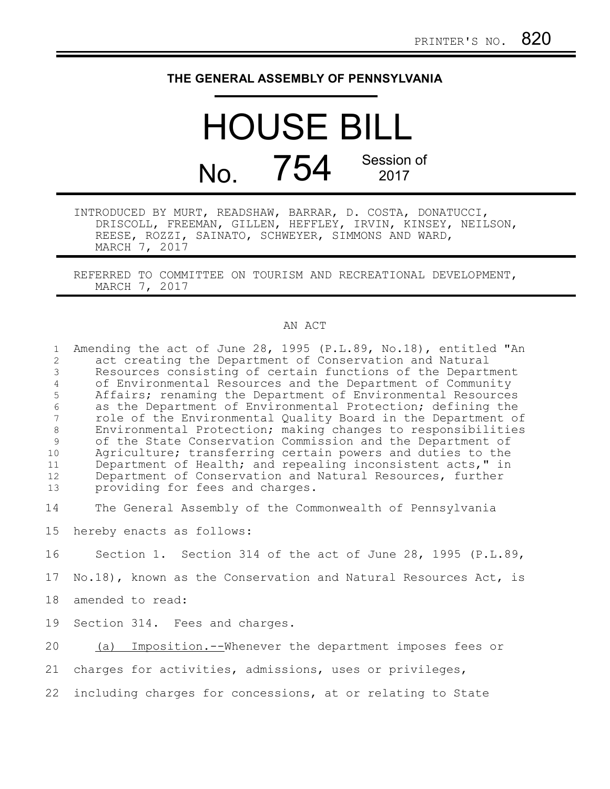## **THE GENERAL ASSEMBLY OF PENNSYLVANIA**

## HOUSE BILL No. 754 Session of 2017

INTRODUCED BY MURT, READSHAW, BARRAR, D. COSTA, DONATUCCI, DRISCOLL, FREEMAN, GILLEN, HEFFLEY, IRVIN, KINSEY, NEILSON, REESE, ROZZI, SAINATO, SCHWEYER, SIMMONS AND WARD, MARCH 7, 2017

REFERRED TO COMMITTEE ON TOURISM AND RECREATIONAL DEVELOPMENT, MARCH 7, 2017

## AN ACT

| $\mathbf{1}$<br>$\overline{c}$<br>$\mathfrak{Z}$<br>$\overline{4}$<br>5<br>$6\,$<br>$7\phantom{.0}$<br>$\,8\,$<br>$\mathcal{G}$<br>10<br>11<br>$12 \overline{ }$<br>13 | Amending the act of June 28, 1995 (P.L.89, No.18), entitled "An<br>act creating the Department of Conservation and Natural<br>Resources consisting of certain functions of the Department<br>of Environmental Resources and the Department of Community<br>Affairs; renaming the Department of Environmental Resources<br>as the Department of Environmental Protection; defining the<br>role of the Environmental Quality Board in the Department of<br>Environmental Protection; making changes to responsibilities<br>of the State Conservation Commission and the Department of<br>Agriculture; transferring certain powers and duties to the<br>Department of Health; and repealing inconsistent acts," in<br>Department of Conservation and Natural Resources, further<br>providing for fees and charges. |
|------------------------------------------------------------------------------------------------------------------------------------------------------------------------|-----------------------------------------------------------------------------------------------------------------------------------------------------------------------------------------------------------------------------------------------------------------------------------------------------------------------------------------------------------------------------------------------------------------------------------------------------------------------------------------------------------------------------------------------------------------------------------------------------------------------------------------------------------------------------------------------------------------------------------------------------------------------------------------------------------------|
| 14                                                                                                                                                                     | The General Assembly of the Commonwealth of Pennsylvania                                                                                                                                                                                                                                                                                                                                                                                                                                                                                                                                                                                                                                                                                                                                                        |
| 15                                                                                                                                                                     | hereby enacts as follows:                                                                                                                                                                                                                                                                                                                                                                                                                                                                                                                                                                                                                                                                                                                                                                                       |
| 16                                                                                                                                                                     | Section 1. Section 314 of the act of June 28, 1995 (P.L.89,                                                                                                                                                                                                                                                                                                                                                                                                                                                                                                                                                                                                                                                                                                                                                     |
| 17                                                                                                                                                                     | No.18), known as the Conservation and Natural Resources Act, is                                                                                                                                                                                                                                                                                                                                                                                                                                                                                                                                                                                                                                                                                                                                                 |
| 18                                                                                                                                                                     | amended to read:                                                                                                                                                                                                                                                                                                                                                                                                                                                                                                                                                                                                                                                                                                                                                                                                |
| 19                                                                                                                                                                     | Section 314. Fees and charges.                                                                                                                                                                                                                                                                                                                                                                                                                                                                                                                                                                                                                                                                                                                                                                                  |
| 20                                                                                                                                                                     | Imposition.--Whenever the department imposes fees or<br>(a)                                                                                                                                                                                                                                                                                                                                                                                                                                                                                                                                                                                                                                                                                                                                                     |
| 21                                                                                                                                                                     | charges for activities, admissions, uses or privileges,                                                                                                                                                                                                                                                                                                                                                                                                                                                                                                                                                                                                                                                                                                                                                         |
| 22                                                                                                                                                                     | including charges for concessions, at or relating to State                                                                                                                                                                                                                                                                                                                                                                                                                                                                                                                                                                                                                                                                                                                                                      |